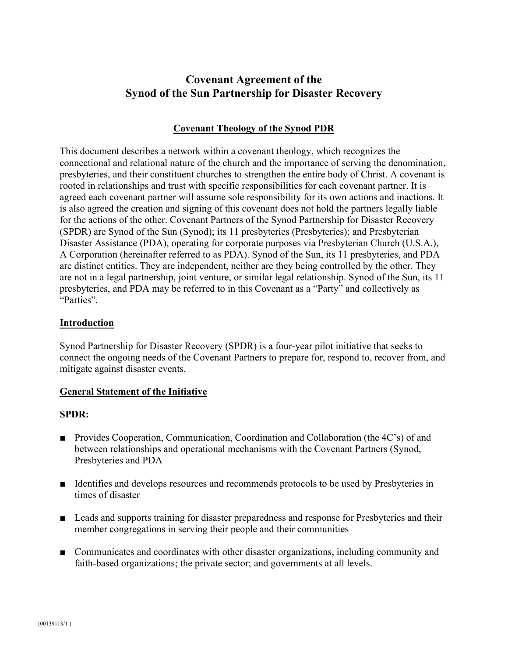# **Covenant Agreement of the Synod of the Sun Partnership for Disaster Recovery**

#### **Covenant Theology of the Synod PDR**

This document describes a network within a covenant theology, which recognizes the connectional and relational nature of the church and the importance of serving the denomination, presbyteries, and their constituent churches to strengthen the entire body of Christ. A covenant is rooted in relationships and trust with specific responsibilities for each covenant partner. It is agreed each covenant partner will assume sole responsibility for its own actions and inactions. It is also agreed the creation and signing of this covenant does not hold the partners legally liable for the actions of the other. Covenant Partners of the Synod Partnership for Disaster Recovery (SPDR) are Synod of the Sun (Synod); its 11 presbyteries (Presbyteries); and Presbyterian Disaster Assistance (PDA), operating for corporate purposes via Presbyterian Church (U.S.A.), A Corporation (hereinafter referred to as PDA). Synod of the Sun, its 11 presbyteries, and PDA are distinct entities. They are independent, neither are they being controlled by the other. They are not in a legal partnership, joint venture, or similar legal relationship. Synod of the Sun, its 11 presbyteries, and PDA may be referred to in this Covenant as a "Party" and collectively as "Parties".

#### **Introduction**

Synod Partnership for Disaster Recovery (SPDR) is a four-year pilot initiative that seeks to connect the ongoing needs of the Covenant Partners to prepare for, respond to, recover from, and mitigate against disaster events.

#### **General Statement of the Initiative**

#### **SPDR:**

- **Provides Cooperation, Communication, Coordination and Collaboration (the 4C's) of and** between relationships and operational mechanisms with the Covenant Partners (Synod, Presbyteries and PDA
- **IDENTIFIER and develops resources and recommends protocols to be used by Presbyteries in** times of disaster
- **Example 1** Leads and supports training for disaster preparedness and response for Presbyteries and their member congregations in serving their people and their communities
- Communicates and coordinates with other disaster organizations, including community and faith-based organizations; the private sector; and governments at all levels.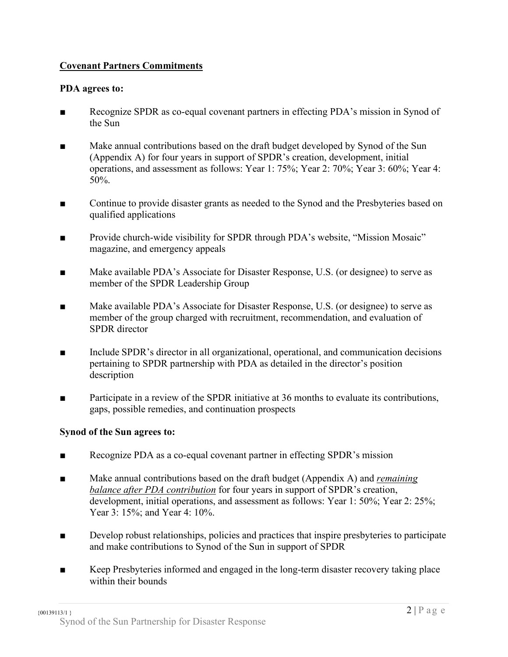## **Covenant Partners Commitments**

#### **PDA agrees to:**

- **EXECOGNIZE SPDR** as co-equal covenant partners in effecting PDA's mission in Synod of the Sun
- Make annual contributions based on the draft budget developed by Synod of the Sun (Appendix A) for four years in support of SPDR's creation, development, initial operations, and assessment as follows: Year 1: 75%; Year 2: 70%; Year 3: 60%; Year 4: 50%.
- **••••** Continue to provide disaster grants as needed to the Synod and the Presbyteries based on qualified applications
- Ŷ Provide church-wide visibility for SPDR through PDA's website, "Mission Mosaic" magazine, and emergency appeals
- $\blacksquare$  Make available PDA's Associate for Disaster Response, U.S. (or designee) to serve as member of the SPDR Leadership Group
- **Nake available PDA's Associate for Disaster Response, U.S. (or designee) to serve as** member of the group charged with recruitment, recommendation, and evaluation of SPDR director
- $\blacksquare$  Include SPDR's director in all organizational, operational, and communication decisions pertaining to SPDR partnership with PDA as detailed in the director's position description
- $\blacksquare$  Participate in a review of the SPDR initiative at 36 months to evaluate its contributions, gaps, possible remedies, and continuation prospects

#### **Synod of the Sun agrees to:**

- **EXECOGNIZE PDA as a co-equal covenant partner in effecting SPDR's mission**
- **K** Make annual contributions based on the draft budget (Appendix A) and *remaining balance after PDA contribution* for four years in support of SPDR's creation, development, initial operations, and assessment as follows: Year 1: 50%; Year 2: 25%; Year 3: 15%; and Year 4: 10%.
- **EXECUTE:** Develop robust relationships, policies and practices that inspire presbyteries to participate and make contributions to Synod of the Sun in support of SPDR
- Keep Presbyteries informed and engaged in the long-term disaster recovery taking place within their bounds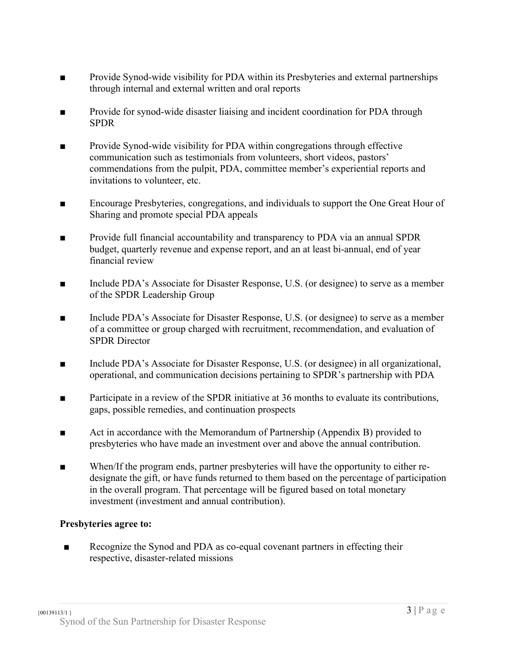- Ŷ Provide Synod-wide visibility for PDA within its Presbyteries and external partnerships through internal and external written and oral reports
- **EXECUTE:** Provide for synod-wide disaster liaising and incident coordination for PDA through SPDR
- **Provide Synod-wide visibility for PDA within congregations through effective** communication such as testimonials from volunteers, short videos, pastors' commendations from the pulpit, PDA, committee member's experiential reports and invitations to volunteer, etc.
- $\blacksquare$  Encourage Presbyteries, congregations, and individuals to support the One Great Hour of Sharing and promote special PDA appeals
- **EXECUTE:** Provide full financial accountability and transparency to PDA via an annual SPDR budget, quarterly revenue and expense report, and an at least bi-annual, end of year financial review
- **FREE Include PDA's Associate for Disaster Response, U.S. (or designee) to serve as a member** of the SPDR Leadership Group
- **Include PDA's Associate for Disaster Response, U.S. (or designee) to serve as a member** of a committee or group charged with recruitment, recommendation, and evaluation of SPDR Director
- **Include PDA's Associate for Disaster Response, U.S. (or designee) in all organizational,** operational, and communication decisions pertaining to SPDR's partnership with PDA
- $\blacksquare$  Participate in a review of the SPDR initiative at 36 months to evaluate its contributions, gaps, possible remedies, and continuation prospects
- $\blacksquare$  Act in accordance with the Memorandum of Partnership (Appendix B) provided to presbyteries who have made an investment over and above the annual contribution.
- $\blacksquare$  When/If the program ends, partner presbyteries will have the opportunity to either redesignate the gift, or have funds returned to them based on the percentage of participation in the overall program. That percentage will be figured based on total monetary investment (investment and annual contribution).

## **Presbyteries agree to:**

**EXECOGNIZER IN Recognize the Synod and PDA as co-equal covenant partners in effecting their** respective, disaster-related missions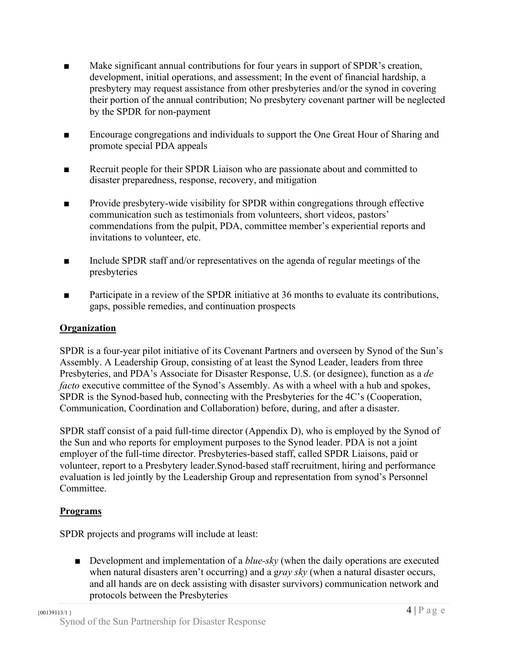- $\blacksquare$  Make significant annual contributions for four years in support of SPDR's creation, development, initial operations, and assessment; In the event of financial hardship, a presbytery may request assistance from other presbyteries and/or the synod in covering their portion of the annual contribution; No presbytery covenant partner will be neglected by the SPDR for non-payment
- **Encourage congregations and individuals to support the One Great Hour of Sharing and** promote special PDA appeals
- **EXECRUM** Recruit people for their SPDR Liaison who are passionate about and committed to disaster preparedness, response, recovery, and mitigation
- $\blacksquare$  Provide presbytery-wide visibility for SPDR within congregations through effective communication such as testimonials from volunteers, short videos, pastors' commendations from the pulpit, PDA, committee member's experiential reports and invitations to volunteer, etc.
- $\blacksquare$  Include SPDR staff and/or representatives on the agenda of regular meetings of the presbyteries
- **Participate in a review of the SPDR initiative at 36 months to evaluate its contributions,** gaps, possible remedies, and continuation prospects

# **Organization**

SPDR is a four-year pilot initiative of its Covenant Partners and overseen by Synod of the Sun's Assembly. A Leadership Group, consisting of at least the Synod Leader, leaders from three Presbyteries, and PDA's Associate for Disaster Response, U.S. (or designee), function as a *de facto* executive committee of the Synod's Assembly. As with a wheel with a hub and spokes, SPDR is the Synod-based hub, connecting with the Presbyteries for the 4C's (Cooperation, Communication, Coordination and Collaboration) before, during, and after a disaster.

SPDR staff consist of a paid full-time director (Appendix D), who is employed by the Synod of the Sun and who reports for employment purposes to the Synod leader. PDA is not a joint employer of the full-time director. Presbyteries-based staff, called SPDR Liaisons, paid or volunteer, report to a Presbytery leader.Synod-based staff recruitment, hiring and performance evaluation is led jointly by the Leadership Group and representation from synod's Personnel **Committee** 

## **Programs**

SPDR projects and programs will include at least:

■ Development and implementation of a *blue-sky* (when the daily operations are executed when natural disasters aren't occurring) and a g*ray sky* (when a natural disaster occurs, and all hands are on deck assisting with disaster survivors) communication network and protocols between the Presbyteries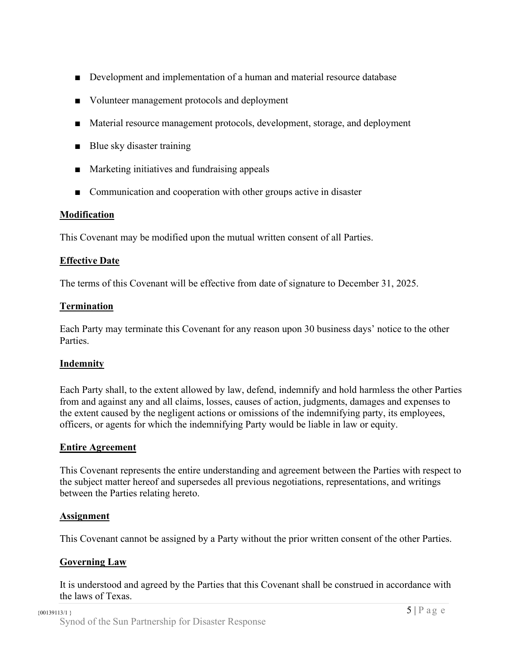- $\blacksquare$  Development and implementation of a human and material resource database
- Volunteer management protocols and deployment
- Material resource management protocols, development, storage, and deployment
- $\blacksquare$  Blue sky disaster training
- $\blacksquare$  Marketing initiatives and fundraising appeals
- $\Box$  Communication and cooperation with other groups active in disaster

#### **Modification**

This Covenant may be modified upon the mutual written consent of all Parties.

#### **Effective Date**

The terms of this Covenant will be effective from date of signature to December 31, 2025.

#### **Termination**

Each Party may terminate this Covenant for any reason upon 30 business days' notice to the other Parties.

#### **Indemnity**

Each Party shall, to the extent allowed by law, defend, indemnify and hold harmless the other Parties from and against any and all claims, losses, causes of action, judgments, damages and expenses to the extent caused by the negligent actions or omissions of the indemnifying party, its employees, officers, or agents for which the indemnifying Party would be liable in law or equity.

#### **Entire Agreement**

This Covenant represents the entire understanding and agreement between the Parties with respect to the subject matter hereof and supersedes all previous negotiations, representations, and writings between the Parties relating hereto.

#### **Assignment**

This Covenant cannot be assigned by a Party without the prior written consent of the other Parties.

#### **Governing Law**

It is understood and agreed by the Parties that this Covenant shall be construed in accordance with the laws of Texas.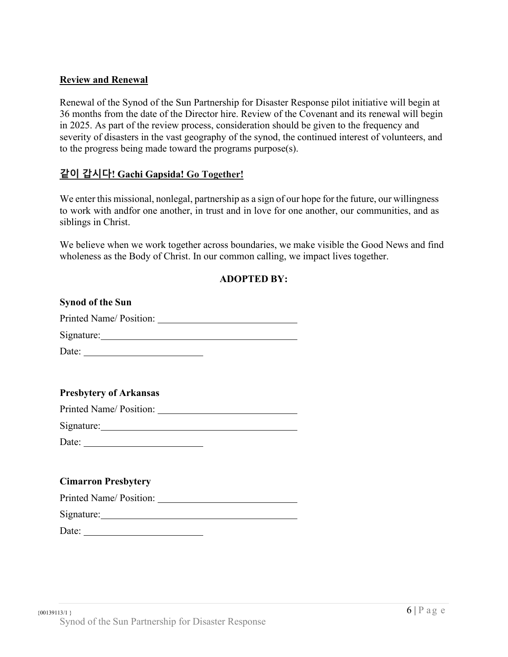#### **Review and Renewal**

Renewal of the Synod of the Sun Partnership for Disaster Response pilot initiative will begin at 36 months from the date of the Director hire. Review of the Covenant and its renewal will begin in 2025. As part of the review process, consideration should be given to the frequency and severity of disasters in the vast geography of the synod, the continued interest of volunteers, and to the progress being made toward the programs purpose(s).

### **ʈࢄ ʁݡЩ! Gachi Gapsida! Go Together!**

We enter this missional, nonlegal, partnership as a sign of our hope for the future, our willingness to work with andfor one another, in trust and in love for one another, our communities, and as siblings in Christ.

We believe when we work together across boundaries, we make visible the Good News and find wholeness as the Body of Christ. In our common calling, we impact lives together.

| <b>ADOPTED BY:</b> |  |
|--------------------|--|
|--------------------|--|

| <b>Synod of the Sun</b>       |  |
|-------------------------------|--|
| Printed Name/ Position:       |  |
|                               |  |
| Date:                         |  |
|                               |  |
|                               |  |
| <b>Presbytery of Arkansas</b> |  |
|                               |  |
| Signature: Signature:         |  |
| Date:                         |  |
|                               |  |
| <b>Cimarron Presbytery</b>    |  |
|                               |  |
|                               |  |
| Date:                         |  |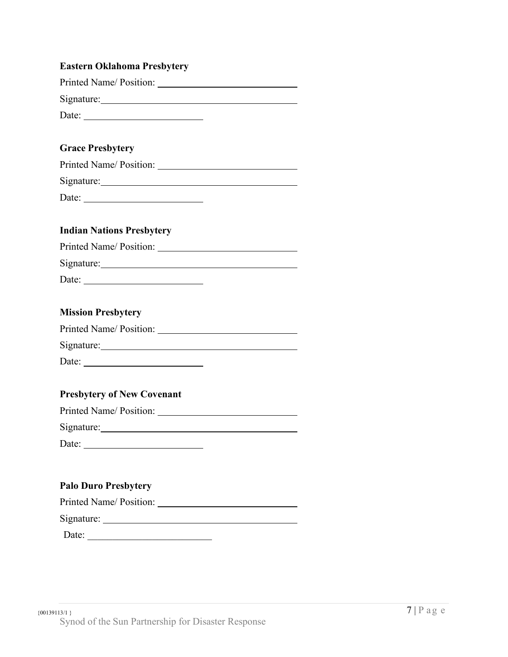| <b>Eastern Oklahoma Presbytery</b>                       |  |
|----------------------------------------------------------|--|
| Printed Name/Position:                                   |  |
|                                                          |  |
|                                                          |  |
|                                                          |  |
| <b>Grace Presbytery</b>                                  |  |
| Printed Name/Position:                                   |  |
|                                                          |  |
| Date:                                                    |  |
|                                                          |  |
| <b>Indian Nations Presbytery</b>                         |  |
|                                                          |  |
|                                                          |  |
| Date: $\frac{1}{\sqrt{1-\frac{1}{2}} \cdot \frac{1}{2}}$ |  |
|                                                          |  |
| <b>Mission Presbytery</b>                                |  |
|                                                          |  |
|                                                          |  |
|                                                          |  |
| Date:                                                    |  |
|                                                          |  |
| <b>Presbytery of New Covenant</b>                        |  |
| Printed Name/Position:                                   |  |
| Signature:                                               |  |
|                                                          |  |
|                                                          |  |
|                                                          |  |
| <b>Palo Duro Presbytery</b>                              |  |
| Printed Name/ Position:                                  |  |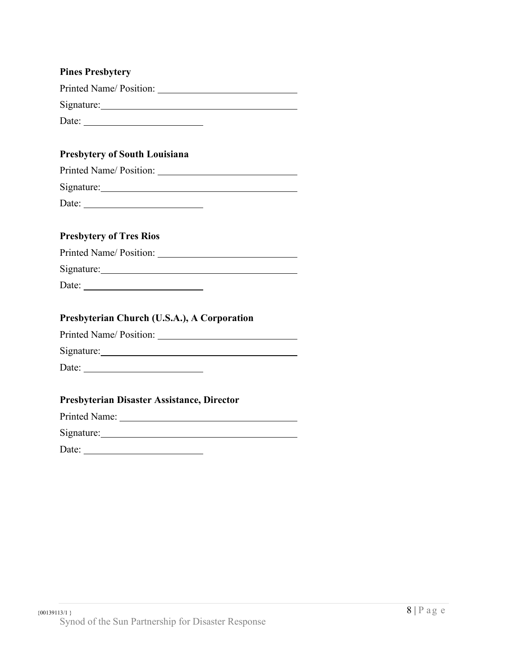| <b>Pines Presbytery</b>                     |
|---------------------------------------------|
|                                             |
|                                             |
| Date: $\frac{1}{2}$                         |
|                                             |
| <b>Presbytery of South Louisiana</b>        |
| Printed Name/ Position:                     |
| Signature: Signature:                       |
| Date:                                       |
|                                             |
| <b>Presbytery of Tres Rios</b>              |
| Printed Name/Position:                      |
| Signature: Signature:                       |
| Date: $\qquad \qquad$                       |
|                                             |
| Presbyterian Church (U.S.A.), A Corporation |
| Printed Name/ Position:                     |
|                                             |
|                                             |
|                                             |
| Presbyterian Disaster Assistance, Director  |
|                                             |
| Signature: Signature:                       |
|                                             |
|                                             |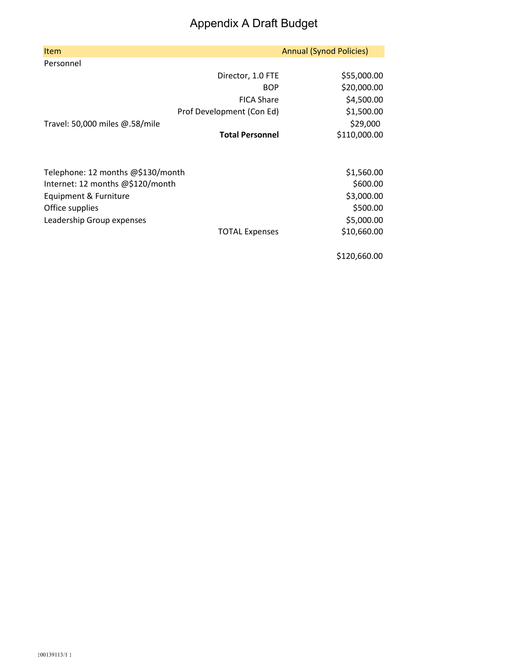# Appendix A Draft Budget

| <b>Item</b>                       |                           | <b>Annual (Synod Policies)</b> |
|-----------------------------------|---------------------------|--------------------------------|
| Personnel                         |                           |                                |
|                                   | Director, 1.0 FTE         | \$55,000.00                    |
|                                   | <b>BOP</b>                | \$20,000.00                    |
|                                   | <b>FICA Share</b>         | \$4,500.00                     |
|                                   | Prof Development (Con Ed) | \$1,500.00                     |
| Travel: 50,000 miles @.58/mile    |                           | \$29,000                       |
|                                   | <b>Total Personnel</b>    | \$110,000.00                   |
|                                   |                           |                                |
| Telephone: 12 months @\$130/month |                           | \$1,560.00                     |
| Internet: 12 months @\$120/month  |                           | \$600.00                       |
| Equipment & Furniture             |                           | \$3,000.00                     |
| Office supplies                   |                           | \$500.00                       |
| Leadership Group expenses         |                           | \$5,000.00                     |
|                                   | <b>TOTAL Expenses</b>     | \$10,660.00                    |
|                                   |                           |                                |

\$120,660.00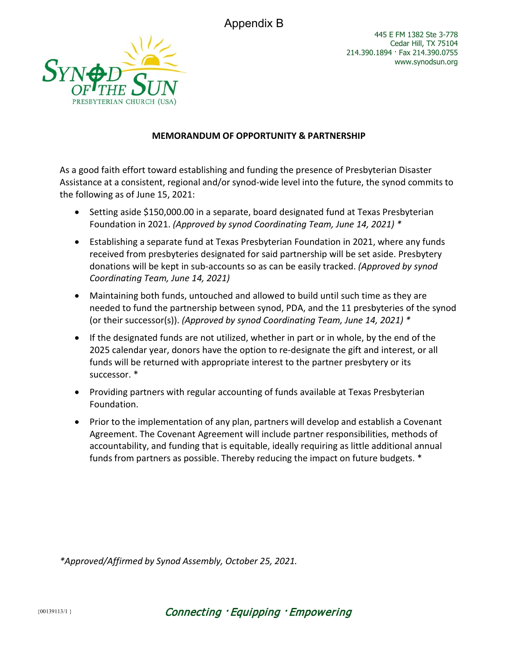Appendix B



#### **MEMORANDUM OF OPPORTUNITY & PARTNERSHIP**

As a good faith effort toward establishing and funding the presence of Presbyterian Disaster Assistance at a consistent, regional and/or synod-wide level into the future, the synod commits to the following as of June 15, 2021:

- Setting aside \$150,000.00 in a separate, board designated fund at Texas Presbyterian Foundation in 2021. *(Approved by synod Coordinating Team, June 14, 2021) \**
- Establishing a separate fund at Texas Presbyterian Foundation in 2021, where any funds received from presbyteries designated for said partnership will be set aside. Presbytery donations will be kept in sub-accounts so as can be easily tracked. *(Approved by synod Coordinating Team, June 14, 2021)*
- Maintaining both funds, untouched and allowed to build until such time as they are needed to fund the partnership between synod, PDA, and the 11 presbyteries of the synod (or their successor(s)). *(Approved by synod Coordinating Team, June 14, 2021) \**
- If the designated funds are not utilized, whether in part or in whole, by the end of the 2025 calendar year, donors have the option to re-designate the gift and interest, or all funds will be returned with appropriate interest to the partner presbytery or its successor. \*
- Providing partners with regular accounting of funds available at Texas Presbyterian Foundation.
- Prior to the implementation of any plan, partners will develop and establish a Covenant Agreement. The Covenant Agreement will include partner responsibilities, methods of accountability, and funding that is equitable, ideally requiring as little additional annual funds from partners as possible. Thereby reducing the impact on future budgets. \*

*\*Approved/Affirmed by Synod Assembly, October 25, 2021.*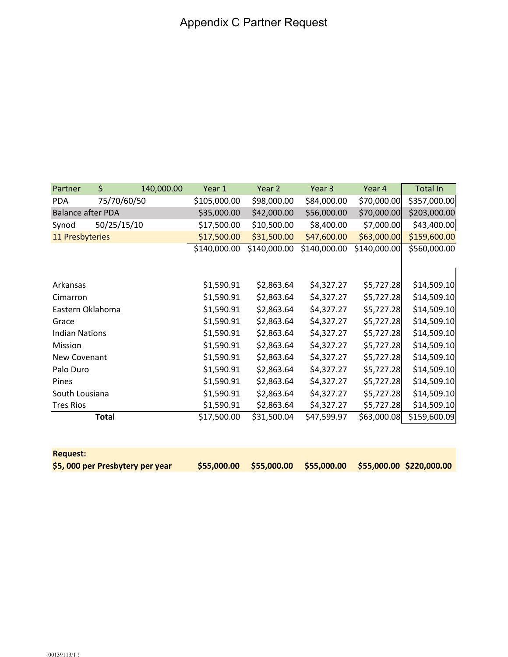| Partner                  | \$    | 140,000.00  | Year 1       | Year 2       | Year 3       | Year 4       | <b>Total In</b> |
|--------------------------|-------|-------------|--------------|--------------|--------------|--------------|-----------------|
| <b>PDA</b>               |       | 75/70/60/50 | \$105,000.00 | \$98,000.00  | \$84,000.00  | \$70,000.00  | \$357,000.00    |
| <b>Balance after PDA</b> |       |             | \$35,000.00  | \$42,000.00  | \$56,000.00  | \$70,000.00  | \$203,000.00    |
| Synod                    |       | 50/25/15/10 | \$17,500.00  | \$10,500.00  | \$8,400.00   | \$7,000.00   | \$43,400.00     |
| 11 Presbyteries          |       |             | \$17,500.00  | \$31,500.00  | \$47,600.00  | \$63,000.00  | \$159,600.00    |
|                          |       |             | \$140,000.00 | \$140,000.00 | \$140,000.00 | \$140,000.00 | \$560,000.00    |
|                          |       |             |              |              |              |              |                 |
|                          |       |             |              |              |              |              |                 |
| Arkansas                 |       |             | \$1,590.91   | \$2,863.64   | \$4,327.27   | \$5,727.28   | \$14,509.10     |
| Cimarron                 |       |             | \$1,590.91   | \$2,863.64   | \$4,327.27   | \$5,727.28   | \$14,509.10     |
| Eastern Oklahoma         |       |             | \$1,590.91   | \$2,863.64   | \$4,327.27   | \$5,727.28   | \$14,509.10     |
| Grace                    |       |             | \$1,590.91   | \$2,863.64   | \$4,327.27   | \$5,727.28   | \$14,509.10     |
| <b>Indian Nations</b>    |       |             | \$1,590.91   | \$2,863.64   | \$4,327.27   | \$5,727.28   | \$14,509.10     |
| Mission                  |       |             | \$1,590.91   | \$2,863.64   | \$4,327.27   | \$5,727.28   | \$14,509.10     |
| New Covenant             |       |             | \$1,590.91   | \$2,863.64   | \$4,327.27   | \$5,727.28   | \$14,509.10     |
| Palo Duro                |       |             | \$1,590.91   | \$2,863.64   | \$4,327.27   | \$5,727.28   | \$14,509.10     |
| Pines                    |       |             | \$1,590.91   | \$2,863.64   | \$4,327.27   | \$5,727.28   | \$14,509.10     |
| South Lousiana           |       |             | \$1,590.91   | \$2,863.64   | \$4,327.27   | \$5,727.28   | \$14,509.10     |
| <b>Tres Rios</b>         |       |             | \$1,590.91   | \$2,863.64   | \$4,327.27   | \$5,727.28   | \$14,509.10     |
|                          | Total |             | \$17,500.00  | \$31,500.04  | \$47,599.97  | \$63,000.08  | \$159,600.09    |
|                          |       |             |              |              |              |              |                 |

| <b>Request:</b>                 |  |                                                                   |  |
|---------------------------------|--|-------------------------------------------------------------------|--|
| \$5,000 per Presbytery per year |  | $$55,000.00$ $$55,000.00$ $$55,000.00$ $$55,000.00$ $$220,000.00$ |  |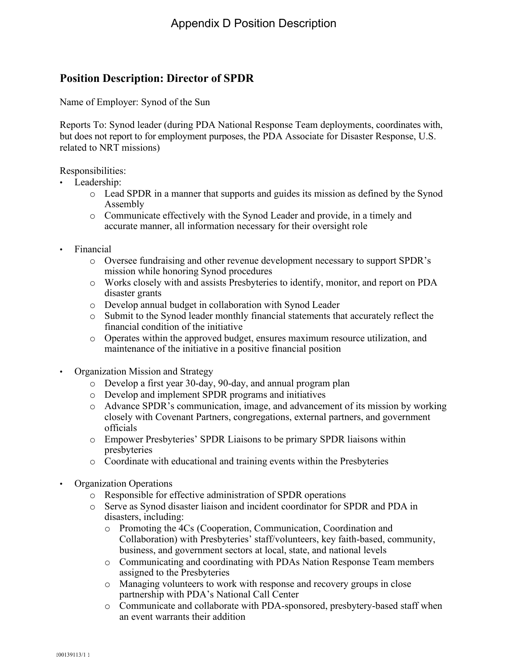# **Position Description: Director of SPDR**

Name of Employer: Synod of the Sun

Reports To: Synod leader (during PDA National Response Team deployments, coordinates with, but does not report to for employment purposes, the PDA Associate for Disaster Response, U.S. related to NRT missions)

Responsibilities:

- Leadership:
	- o Lead SPDR in a manner that supports and guides its mission as defined by the Synod Assembly
	- o Communicate effectively with the Synod Leader and provide, in a timely and accurate manner, all information necessary for their oversight role
- Financial
	- o Oversee fundraising and other revenue development necessary to support SPDR's mission while honoring Synod procedures
	- o Works closely with and assists Presbyteries to identify, monitor, and report on PDA disaster grants
	- o Develop annual budget in collaboration with Synod Leader
	- o Submit to the Synod leader monthly financial statements that accurately reflect the financial condition of the initiative
	- o Operates within the approved budget, ensures maximum resource utilization, and maintenance of the initiative in a positive financial position
- Organization Mission and Strategy
	- o Develop a first year 30-day, 90-day, and annual program plan
	- o Develop and implement SPDR programs and initiatives
	- o Advance SPDR's communication, image, and advancement of its mission by working closely with Covenant Partners, congregations, external partners, and government officials
	- o Empower Presbyteries' SPDR Liaisons to be primary SPDR liaisons within presbyteries
	- o Coordinate with educational and training events within the Presbyteries
- Organization Operations
	- o Responsible for effective administration of SPDR operations
	- o Serve as Synod disaster liaison and incident coordinator for SPDR and PDA in disasters, including:
		- o Promoting the 4Cs (Cooperation, Communication, Coordination and Collaboration) with Presbyteries' staff/volunteers, key faith-based, community, business, and government sectors at local, state, and national levels
		- o Communicating and coordinating with PDAs Nation Response Team members assigned to the Presbyteries
		- o Managing volunteers to work with response and recovery groups in close partnership with PDA's National Call Center
		- o Communicate and collaborate with PDA-sponsored, presbytery-based staff when an event warrants their addition